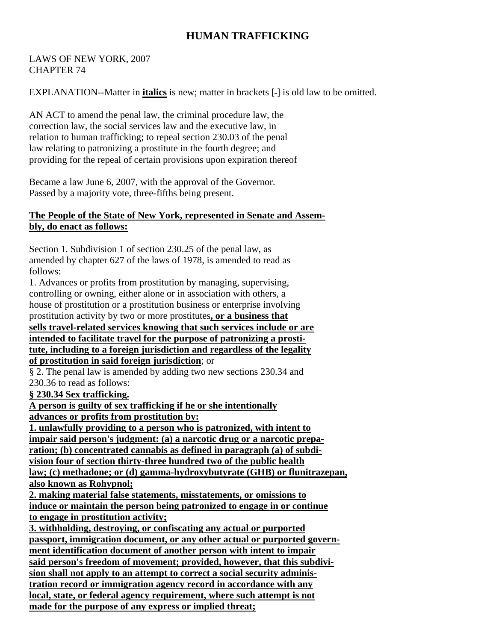# **HUMAN TRAFFICKING**

#### LAWS OF NEW YORK, 2007 CHAPTER 74

EXPLANATION--Matter in **italics** is new; matter in brackets [ ] is old law to be omitted.

AN ACT to amend the penal law, the criminal procedure law, the correction law, the social services law and the executive law, in relation to human trafficking; to repeal section 230.03 of the penal law relating to patronizing a prostitute in the fourth degree; and providing for the repeal of certain provisions upon expiration thereof

Became a law June 6, 2007, with the approval of the Governor. Passed by a majority vote, three-fifths being present.

### **The People of the State of New York, represented in Senate and Assembly, do enact as follows:**

Section 1. Subdivision 1 of section 230.25 of the penal law, as amended by chapter 627 of the laws of 1978, is amended to read as follows:

1. Advances or profits from prostitution by managing, supervising, controlling or owning, either alone or in association with others, a house of prostitution or a prostitution business or enterprise involving prostitution activity by two or more prostitutes**, or a business that sells travel-related services knowing that such services include or are intended to facilitate travel for the purpose of patronizing a prosti-**

**tute, including to a foreign jurisdiction and regardless of the legality of prostitution in said foreign jurisdiction**; or

§ 2. The penal law is amended by adding two new sections 230.34 and 230.36 to read as follows:

**§ 230.34 Sex trafficking.**

**A person is guilty of sex trafficking if he or she intentionally advances or profits from prostitution by:**

**1. unlawfully providing to a person who is patronized, with intent to impair said person's judgment: (a) a narcotic drug or a narcotic preparation; (b) concentrated cannabis as defined in paragraph (a) of subdivision four of section thirty-three hundred two of the public health law; (c) methadone; or (d) gamma-hydroxybutyrate (GHB) or flunitrazepan, also known as Rohypnol;**

**2. making material false statements, misstatements, or omissions to induce or maintain the person being patronized to engage in or continue to engage in prostitution activity;**

**3. withholding, destroying, or confiscating any actual or purported passport, immigration document, or any other actual or purported government identification document of another person with intent to impair said person's freedom of movement; provided, however, that this subdivision shall not apply to an attempt to correct a social security administration record or immigration agency record in accordance with any local, state, or federal agency requirement, where such attempt is not made for the purpose of any express or implied threat;**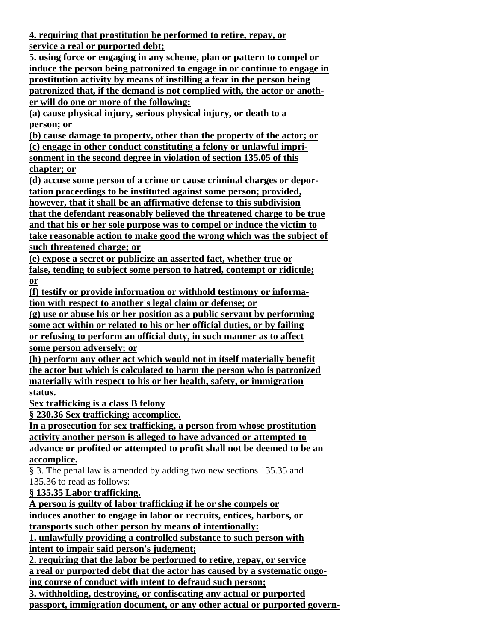**4. requiring that prostitution be performed to retire, repay, or service a real or purported debt;**

**5. using force or engaging in any scheme, plan or pattern to compel or induce the person being patronized to engage in or continue to engage in prostitution activity by means of instilling a fear in the person being patronized that, if the demand is not complied with, the actor or another will do one or more of the following:**

**(a) cause physical injury, serious physical injury, or death to a person; or**

**(b) cause damage to property, other than the property of the actor; or (c) engage in other conduct constituting a felony or unlawful imprisonment in the second degree in violation of section 135.05 of this**

**chapter; or**

**(d) accuse some person of a crime or cause criminal charges or deportation proceedings to be instituted against some person; provided,**

**however, that it shall be an affirmative defense to this subdivision**

**that the defendant reasonably believed the threatened charge to be true**

**and that his or her sole purpose was to compel or induce the victim to take reasonable action to make good the wrong which was the subject of such threatened charge; or**

**(e) expose a secret or publicize an asserted fact, whether true or false, tending to subject some person to hatred, contempt or ridicule; or**

**(f) testify or provide information or withhold testimony or information with respect to another's legal claim or defense; or**

**(g) use or abuse his or her position as a public servant by performing some act within or related to his or her official duties, or by failing or refusing to perform an official duty, in such manner as to affect some person adversely; or**

**(h) perform any other act which would not in itself materially benefit the actor but which is calculated to harm the person who is patronized materially with respect to his or her health, safety, or immigration status.**

**Sex trafficking is a class B felony**

**§ 230.36 Sex trafficking; accomplice.**

**In a prosecution for sex trafficking, a person from whose prostitution activity another person is alleged to have advanced or attempted to advance or profited or attempted to profit shall not be deemed to be an accomplice.**

§ 3. The penal law is amended by adding two new sections 135.35 and 135.36 to read as follows:

**§ 135.35 Labor trafficking.**

**A person is guilty of labor trafficking if he or she compels or**

**induces another to engage in labor or recruits, entices, harbors, or transports such other person by means of intentionally:**

**1. unlawfully providing a controlled substance to such person with intent to impair said person's judgment;**

**2. requiring that the labor be performed to retire, repay, or service**

**a real or purported debt that the actor has caused by a systematic ongo-**

**ing course of conduct with intent to defraud such person;**

**3. withholding, destroying, or confiscating any actual or purported**

**passport, immigration document, or any other actual or purported govern-**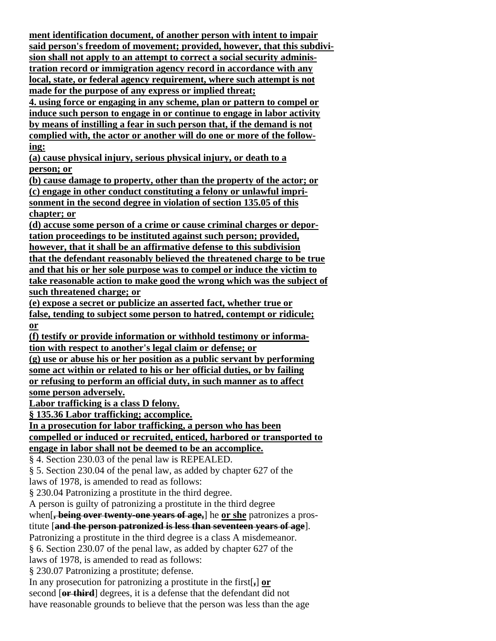**ment identification document, of another person with intent to impair said person's freedom of movement; provided, however, that this subdivision shall not apply to an attempt to correct a social security administration record or immigration agency record in accordance with any local, state, or federal agency requirement, where such attempt is not made for the purpose of any express or implied threat;**

**4. using force or engaging in any scheme, plan or pattern to compel or induce such person to engage in or continue to engage in labor activity by means of instilling a fear in such person that, if the demand is not complied with, the actor or another will do one or more of the following:**

**(a) cause physical injury, serious physical injury, or death to a person; or**

**(b) cause damage to property, other than the property of the actor; or (c) engage in other conduct constituting a felony or unlawful imprisonment in the second degree in violation of section 135.05 of this chapter; or**

**(d) accuse some person of a crime or cause criminal charges or deportation proceedings to be instituted against such person; provided, however, that it shall be an affirmative defense to this subdivision that the defendant reasonably believed the threatened charge to be true and that his or her sole purpose was to compel or induce the victim to take reasonable action to make good the wrong which was the subject of**

**such threatened charge; or**

**(e) expose a secret or publicize an asserted fact, whether true or false, tending to subject some person to hatred, contempt or ridicule; or**

**(f) testify or provide information or withhold testimony or information with respect to another's legal claim or defense; or**

**(g) use or abuse his or her position as a public servant by performing some act within or related to his or her official duties, or by failing or refusing to perform an official duty, in such manner as to affect some person adversely.**

**Labor trafficking is a class D felony.**

**§ 135.36 Labor trafficking; accomplice.**

**In a prosecution for labor trafficking, a person who has been**

**compelled or induced or recruited, enticed, harbored or transported to**

**engage in labor shall not be deemed to be an accomplice.**

§ 4. Section 230.03 of the penal law is REPEALED.

§ 5. Section 230.04 of the penal law, as added by chapter 627 of the

laws of 1978, is amended to read as follows:

§ 230.04 Patronizing a prostitute in the third degree.

A person is guilty of patronizing a prostitute in the third degree

when[**, being over twenty-one years of age,**] he **or she** patronizes a prostitute [**and the person patronized is less than seventeen years of age**].

Patronizing a prostitute in the third degree is a class A misdemeanor.

§ 6. Section 230.07 of the penal law, as added by chapter 627 of the

laws of 1978, is amended to read as follows:

§ 230.07 Patronizing a prostitute; defense.

In any prosecution for patronizing a prostitute in the first[**,**] **or**

second [**or third**] degrees, it is a defense that the defendant did not

have reasonable grounds to believe that the person was less than the age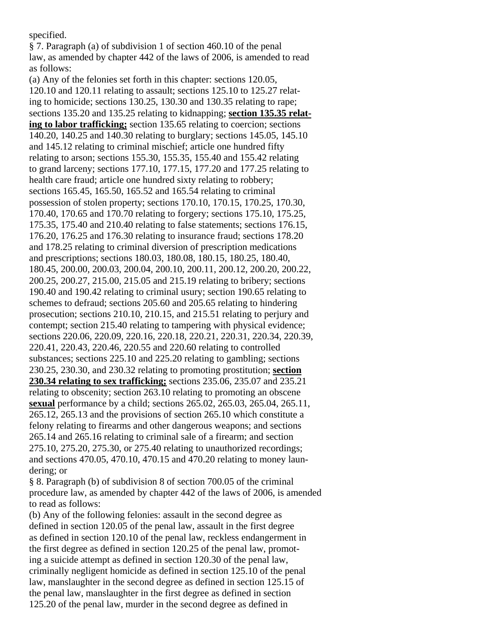specified.

§ 7. Paragraph (a) of subdivision 1 of section 460.10 of the penal law, as amended by chapter 442 of the laws of 2006, is amended to read as follows:

(a) Any of the felonies set forth in this chapter: sections 120.05, 120.10 and 120.11 relating to assault; sections 125.10 to 125.27 relating to homicide; sections 130.25, 130.30 and 130.35 relating to rape; sections 135.20 and 135.25 relating to kidnapping; **section 135.35 relating to labor trafficking;** section 135.65 relating to coercion; sections 140.20, 140.25 and 140.30 relating to burglary; sections 145.05, 145.10 and 145.12 relating to criminal mischief; article one hundred fifty relating to arson; sections 155.30, 155.35, 155.40 and 155.42 relating to grand larceny; sections 177.10, 177.15, 177.20 and 177.25 relating to health care fraud; article one hundred sixty relating to robbery; sections 165.45, 165.50, 165.52 and 165.54 relating to criminal possession of stolen property; sections 170.10, 170.15, 170.25, 170.30, 170.40, 170.65 and 170.70 relating to forgery; sections 175.10, 175.25, 175.35, 175.40 and 210.40 relating to false statements; sections 176.15, 176.20, 176.25 and 176.30 relating to insurance fraud; sections 178.20 and 178.25 relating to criminal diversion of prescription medications and prescriptions; sections 180.03, 180.08, 180.15, 180.25, 180.40, 180.45, 200.00, 200.03, 200.04, 200.10, 200.11, 200.12, 200.20, 200.22, 200.25, 200.27, 215.00, 215.05 and 215.19 relating to bribery; sections 190.40 and 190.42 relating to criminal usury; section 190.65 relating to schemes to defraud; sections 205.60 and 205.65 relating to hindering prosecution; sections 210.10, 210.15, and 215.51 relating to perjury and contempt; section 215.40 relating to tampering with physical evidence; sections 220.06, 220.09, 220.16, 220.18, 220.21, 220.31, 220.34, 220.39, 220.41, 220.43, 220.46, 220.55 and 220.60 relating to controlled substances; sections 225.10 and 225.20 relating to gambling; sections 230.25, 230.30, and 230.32 relating to promoting prostitution; **section 230.34 relating to sex trafficking;** sections 235.06, 235.07 and 235.21 relating to obscenity; section 263.10 relating to promoting an obscene **sexual** performance by a child; sections 265.02, 265.03, 265.04, 265.11, 265.12, 265.13 and the provisions of section 265.10 which constitute a felony relating to firearms and other dangerous weapons; and sections 265.14 and 265.16 relating to criminal sale of a firearm; and section 275.10, 275.20, 275.30, or 275.40 relating to unauthorized recordings; and sections 470.05, 470.10, 470.15 and 470.20 relating to money laundering; or

§ 8. Paragraph (b) of subdivision 8 of section 700.05 of the criminal procedure law, as amended by chapter 442 of the laws of 2006, is amended to read as follows:

(b) Any of the following felonies: assault in the second degree as defined in section 120.05 of the penal law, assault in the first degree as defined in section 120.10 of the penal law, reckless endangerment in the first degree as defined in section 120.25 of the penal law, promoting a suicide attempt as defined in section 120.30 of the penal law, criminally negligent homicide as defined in section 125.10 of the penal law, manslaughter in the second degree as defined in section 125.15 of the penal law, manslaughter in the first degree as defined in section 125.20 of the penal law, murder in the second degree as defined in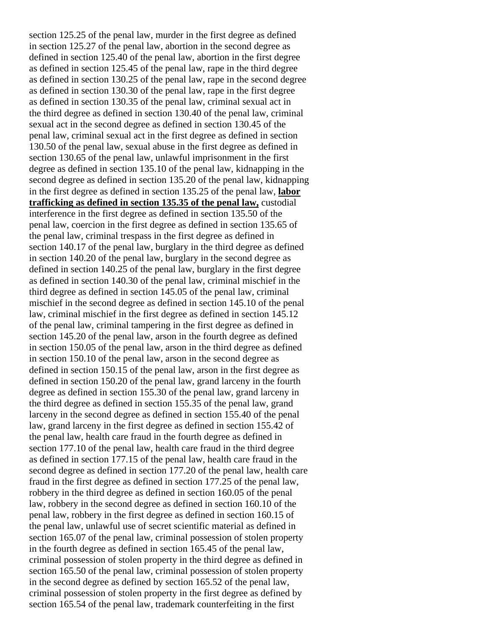section 125.25 of the penal law, murder in the first degree as defined in section 125.27 of the penal law, abortion in the second degree as defined in section 125.40 of the penal law, abortion in the first degree as defined in section 125.45 of the penal law, rape in the third degree as defined in section 130.25 of the penal law, rape in the second degree as defined in section 130.30 of the penal law, rape in the first degree as defined in section 130.35 of the penal law, criminal sexual act in the third degree as defined in section 130.40 of the penal law, criminal sexual act in the second degree as defined in section 130.45 of the penal law, criminal sexual act in the first degree as defined in section 130.50 of the penal law, sexual abuse in the first degree as defined in section 130.65 of the penal law, unlawful imprisonment in the first degree as defined in section 135.10 of the penal law, kidnapping in the second degree as defined in section 135.20 of the penal law, kidnapping in the first degree as defined in section 135.25 of the penal law, **labor trafficking as defined in section 135.35 of the penal law,** custodial interference in the first degree as defined in section 135.50 of the penal law, coercion in the first degree as defined in section 135.65 of the penal law, criminal trespass in the first degree as defined in section 140.17 of the penal law, burglary in the third degree as defined in section 140.20 of the penal law, burglary in the second degree as defined in section 140.25 of the penal law, burglary in the first degree as defined in section 140.30 of the penal law, criminal mischief in the third degree as defined in section 145.05 of the penal law, criminal mischief in the second degree as defined in section 145.10 of the penal law, criminal mischief in the first degree as defined in section 145.12 of the penal law, criminal tampering in the first degree as defined in section 145.20 of the penal law, arson in the fourth degree as defined in section 150.05 of the penal law, arson in the third degree as defined in section 150.10 of the penal law, arson in the second degree as defined in section 150.15 of the penal law, arson in the first degree as defined in section 150.20 of the penal law, grand larceny in the fourth degree as defined in section 155.30 of the penal law, grand larceny in the third degree as defined in section 155.35 of the penal law, grand larceny in the second degree as defined in section 155.40 of the penal law, grand larceny in the first degree as defined in section 155.42 of the penal law, health care fraud in the fourth degree as defined in section 177.10 of the penal law, health care fraud in the third degree as defined in section 177.15 of the penal law, health care fraud in the second degree as defined in section 177.20 of the penal law, health care fraud in the first degree as defined in section 177.25 of the penal law, robbery in the third degree as defined in section 160.05 of the penal law, robbery in the second degree as defined in section 160.10 of the penal law, robbery in the first degree as defined in section 160.15 of the penal law, unlawful use of secret scientific material as defined in section 165.07 of the penal law, criminal possession of stolen property in the fourth degree as defined in section 165.45 of the penal law, criminal possession of stolen property in the third degree as defined in section 165.50 of the penal law, criminal possession of stolen property in the second degree as defined by section 165.52 of the penal law, criminal possession of stolen property in the first degree as defined by section 165.54 of the penal law, trademark counterfeiting in the first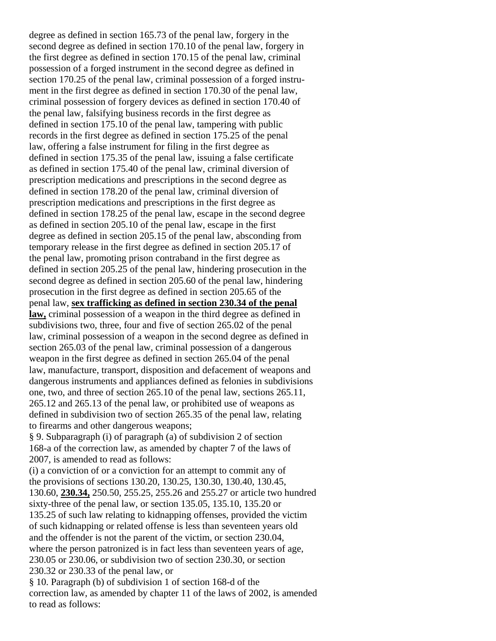degree as defined in section 165.73 of the penal law, forgery in the second degree as defined in section 170.10 of the penal law, forgery in the first degree as defined in section 170.15 of the penal law, criminal possession of a forged instrument in the second degree as defined in section 170.25 of the penal law, criminal possession of a forged instrument in the first degree as defined in section 170.30 of the penal law, criminal possession of forgery devices as defined in section 170.40 of the penal law, falsifying business records in the first degree as defined in section 175.10 of the penal law, tampering with public records in the first degree as defined in section 175.25 of the penal law, offering a false instrument for filing in the first degree as defined in section 175.35 of the penal law, issuing a false certificate as defined in section 175.40 of the penal law, criminal diversion of prescription medications and prescriptions in the second degree as defined in section 178.20 of the penal law, criminal diversion of prescription medications and prescriptions in the first degree as defined in section 178.25 of the penal law, escape in the second degree as defined in section 205.10 of the penal law, escape in the first degree as defined in section 205.15 of the penal law, absconding from temporary release in the first degree as defined in section 205.17 of the penal law, promoting prison contraband in the first degree as defined in section 205.25 of the penal law, hindering prosecution in the second degree as defined in section 205.60 of the penal law, hindering prosecution in the first degree as defined in section 205.65 of the penal law, **sex trafficking as defined in section 230.34 of the penal law,** criminal possession of a weapon in the third degree as defined in subdivisions two, three, four and five of section 265.02 of the penal law, criminal possession of a weapon in the second degree as defined in section 265.03 of the penal law, criminal possession of a dangerous weapon in the first degree as defined in section 265.04 of the penal law, manufacture, transport, disposition and defacement of weapons and dangerous instruments and appliances defined as felonies in subdivisions one, two, and three of section 265.10 of the penal law, sections 265.11, 265.12 and 265.13 of the penal law, or prohibited use of weapons as defined in subdivision two of section 265.35 of the penal law, relating to firearms and other dangerous weapons; § 9. Subparagraph (i) of paragraph (a) of subdivision 2 of section 168-a of the correction law, as amended by chapter 7 of the laws of

2007, is amended to read as follows:

(i) a conviction of or a conviction for an attempt to commit any of the provisions of sections 130.20, 130.25, 130.30, 130.40, 130.45, 130.60, **230.34,** 250.50, 255.25, 255.26 and 255.27 or article two hundred sixty-three of the penal law, or section 135.05, 135.10, 135.20 or 135.25 of such law relating to kidnapping offenses, provided the victim of such kidnapping or related offense is less than seventeen years old and the offender is not the parent of the victim, or section 230.04, where the person patronized is in fact less than seventeen years of age, 230.05 or 230.06, or subdivision two of section 230.30, or section 230.32 or 230.33 of the penal law, or

§ 10. Paragraph (b) of subdivision 1 of section 168-d of the correction law, as amended by chapter 11 of the laws of 2002, is amended to read as follows: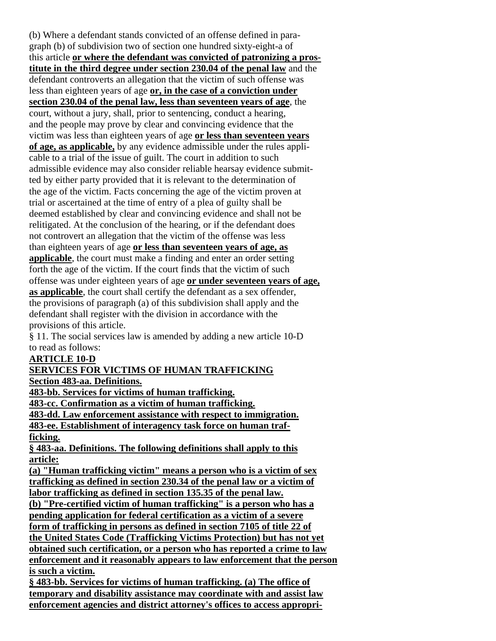(b) Where a defendant stands convicted of an offense defined in paragraph (b) of subdivision two of section one hundred sixty-eight-a of this article **or where the defendant was convicted of patronizing a prostitute in the third degree under section 230.04 of the penal law** and the defendant controverts an allegation that the victim of such offense was less than eighteen years of age **or, in the case of a conviction under section 230.04 of the penal law, less than seventeen years of age**, the court, without a jury, shall, prior to sentencing, conduct a hearing, and the people may prove by clear and convincing evidence that the victim was less than eighteen years of age **or less than seventeen years of age, as applicable,** by any evidence admissible under the rules applicable to a trial of the issue of guilt. The court in addition to such admissible evidence may also consider reliable hearsay evidence submitted by either party provided that it is relevant to the determination of the age of the victim. Facts concerning the age of the victim proven at trial or ascertained at the time of entry of a plea of guilty shall be deemed established by clear and convincing evidence and shall not be relitigated. At the conclusion of the hearing, or if the defendant does not controvert an allegation that the victim of the offense was less than eighteen years of age **or less than seventeen years of age, as applicable**, the court must make a finding and enter an order setting forth the age of the victim. If the court finds that the victim of such offense was under eighteen years of age **or under seventeen years of age, as applicable**, the court shall certify the defendant as a sex offender, the provisions of paragraph (a) of this subdivision shall apply and the defendant shall register with the division in accordance with the provisions of this article.

§ 11. The social services law is amended by adding a new article 10-D to read as follows:

## **ARTICLE 10-D**

#### **SERVICES FOR VICTIMS OF HUMAN TRAFFICKING Section 483-aa. Definitions.**

**483-bb. Services for victims of human trafficking.**

**483-cc. Confirmation as a victim of human trafficking.**

**483-dd. Law enforcement assistance with respect to immigration.**

**483-ee. Establishment of interagency task force on human trafficking.**

**§ 483-aa. Definitions. The following definitions shall apply to this article:**

**(a) "Human trafficking victim" means a person who is a victim of sex trafficking as defined in section 230.34 of the penal law or a victim of labor trafficking as defined in section 135.35 of the penal law.**

**(b) "Pre-certified victim of human trafficking" is a person who has a**

**pending application for federal certification as a victim of a severe**

**form of trafficking in persons as defined in section 7105 of title 22 of the United States Code (Trafficking Victims Protection) but has not yet**

**obtained such certification, or a person who has reported a crime to law enforcement and it reasonably appears to law enforcement that the person is such a victim.**

**§ 483-bb. Services for victims of human trafficking. (a) The office of temporary and disability assistance may coordinate with and assist law enforcement agencies and district attorney's offices to access appropri-**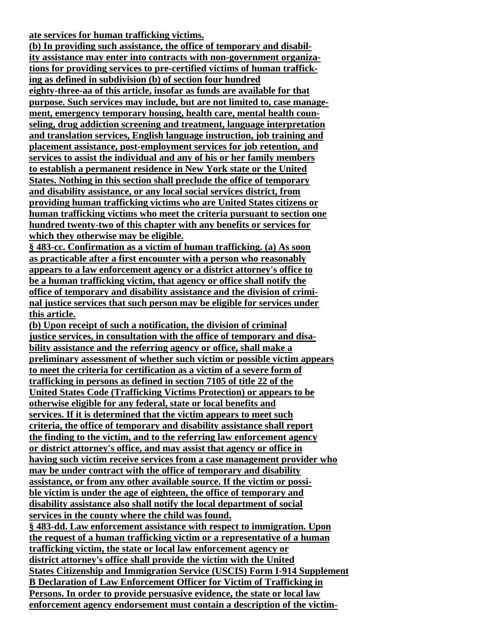**ate services for human trafficking victims.**

**(b) In providing such assistance, the office of temporary and disability assistance may enter into contracts with non-government organizations for providing services to pre-certified victims of human trafficking as defined in subdivision (b) of section four hundred eighty-three-aa of this article, insofar as funds are available for that purpose. Such services may include, but are not limited to, case management, emergency temporary housing, health care, mental health counseling, drug addiction screening and treatment, language interpretation and translation services, English language instruction, job training and placement assistance, post-employment services for job retention, and services to assist the individual and any of his or her family members to establish a permanent residence in New York state or the United States. Nothing in this section shall preclude the office of temporary and disability assistance, or any local social services district, from providing human trafficking victims who are United States citizens or human trafficking victims who meet the criteria pursuant to section one hundred twenty-two of this chapter with any benefits or services for which they otherwise may be eligible.**

**§ 483-cc. Confirmation as a victim of human trafficking. (a) As soon as practicable after a first encounter with a person who reasonably appears to a law enforcement agency or a district attorney's office to be a human trafficking victim, that agency or office shall notify the office of temporary and disability assistance and the division of criminal justice services that such person may be eligible for services under this article.**

**(b) Upon receipt of such a notification, the division of criminal justice services, in consultation with the office of temporary and disability assistance and the referring agency or office, shall make a preliminary assessment of whether such victim or possible victim appears to meet the criteria for certification as a victim of a severe form of trafficking in persons as defined in section 7105 of title 22 of the United States Code (Trafficking Victims Protection) or appears to be otherwise eligible for any federal, state or local benefits and services. If it is determined that the victim appears to meet such criteria, the office of temporary and disability assistance shall report the finding to the victim, and to the referring law enforcement agency or district attorney's office, and may assist that agency or office in having such victim receive services from a case management provider who may be under contract with the office of temporary and disability assistance, or from any other available source. If the victim or possible victim is under the age of eighteen, the office of temporary and disability assistance also shall notify the local department of social services in the county where the child was found. § 483-dd. Law enforcement assistance with respect to immigration. Upon the request of a human trafficking victim or a representative of a human trafficking victim, the state or local law enforcement agency or district attorney's office shall provide the victim with the United States Citizenship and Immigration Service (USCIS) Form I-914 Supplement B Declaration of Law Enforcement Officer for Victim of Trafficking in Persons. In order to provide persuasive evidence, the state or local law**

**enforcement agency endorsement must contain a description of the victim-**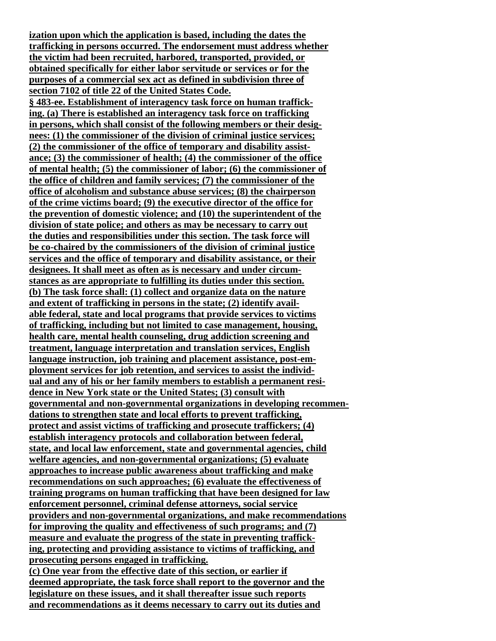**ization upon which the application is based, including the dates the trafficking in persons occurred. The endorsement must address whether the victim had been recruited, harbored, transported, provided, or obtained specifically for either labor servitude or services or for the purposes of a commercial sex act as defined in subdivision three of section 7102 of title 22 of the United States Code. § 483-ee. Establishment of interagency task force on human trafficking. (a) There is established an interagency task force on trafficking in persons, which shall consist of the following members or their designees: (1) the commissioner of the division of criminal justice services; (2) the commissioner of the office of temporary and disability assistance; (3) the commissioner of health; (4) the commissioner of the office of mental health; (5) the commissioner of labor; (6) the commissioner of the office of children and family services; (7) the commissioner of the office of alcoholism and substance abuse services; (8) the chairperson of the crime victims board; (9) the executive director of the office for the prevention of domestic violence; and (10) the superintendent of the division of state police; and others as may be necessary to carry out the duties and responsibilities under this section. The task force will be co-chaired by the commissioners of the division of criminal justice services and the office of temporary and disability assistance, or their designees. It shall meet as often as is necessary and under circumstances as are appropriate to fulfilling its duties under this section. (b) The task force shall: (1) collect and organize data on the nature and extent of trafficking in persons in the state; (2) identify available federal, state and local programs that provide services to victims of trafficking, including but not limited to case management, housing, health care, mental health counseling, drug addiction screening and treatment, language interpretation and translation services, English language instruction, job training and placement assistance, post-employment services for job retention, and services to assist the individual and any of his or her family members to establish a permanent residence in New York state or the United States; (3) consult with governmental and non-governmental organizations in developing recommendations to strengthen state and local efforts to prevent trafficking, protect and assist victims of trafficking and prosecute traffickers; (4) establish interagency protocols and collaboration between federal, state, and local law enforcement, state and governmental agencies, child welfare agencies, and non-governmental organizations; (5) evaluate approaches to increase public awareness about trafficking and make recommendations on such approaches; (6) evaluate the effectiveness of training programs on human trafficking that have been designed for law enforcement personnel, criminal defense attorneys, social service providers and non-governmental organizations, and make recommendations for improving the quality and effectiveness of such programs; and (7) measure and evaluate the progress of the state in preventing trafficking, protecting and providing assistance to victims of trafficking, and prosecuting persons engaged in trafficking. (c) One year from the effective date of this section, or earlier if**

**deemed appropriate, the task force shall report to the governor and the legislature on these issues, and it shall thereafter issue such reports and recommendations as it deems necessary to carry out its duties and**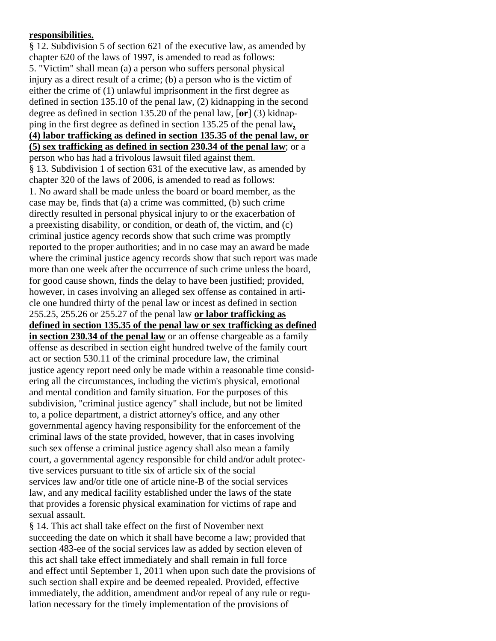#### **responsibilities.**

§ 12. Subdivision 5 of section 621 of the executive law, as amended by chapter 620 of the laws of 1997, is amended to read as follows: 5. "Victim" shall mean (a) a person who suffers personal physical injury as a direct result of a crime; (b) a person who is the victim of either the crime of (1) unlawful imprisonment in the first degree as defined in section 135.10 of the penal law, (2) kidnapping in the second degree as defined in section 135.20 of the penal law, [**or**] (3) kidnapping in the first degree as defined in section 135.25 of the penal law**, (4) labor trafficking as defined in section 135.35 of the penal law, or (5) sex trafficking as defined in section 230.34 of the penal law**; or a person who has had a frivolous lawsuit filed against them. § 13. Subdivision 1 of section 631 of the executive law, as amended by chapter 320 of the laws of 2006, is amended to read as follows: 1. No award shall be made unless the board or board member, as the case may be, finds that (a) a crime was committed, (b) such crime directly resulted in personal physical injury to or the exacerbation of a preexisting disability, or condition, or death of, the victim, and (c) criminal justice agency records show that such crime was promptly reported to the proper authorities; and in no case may an award be made where the criminal justice agency records show that such report was made more than one week after the occurrence of such crime unless the board, for good cause shown, finds the delay to have been justified; provided, however, in cases involving an alleged sex offense as contained in article one hundred thirty of the penal law or incest as defined in section 255.25, 255.26 or 255.27 of the penal law **or labor trafficking as defined in section 135.35 of the penal law or sex trafficking as defined in section 230.34 of the penal law** or an offense chargeable as a family offense as described in section eight hundred twelve of the family court act or section 530.11 of the criminal procedure law, the criminal justice agency report need only be made within a reasonable time considering all the circumstances, including the victim's physical, emotional and mental condition and family situation. For the purposes of this subdivision, "criminal justice agency" shall include, but not be limited to, a police department, a district attorney's office, and any other governmental agency having responsibility for the enforcement of the criminal laws of the state provided, however, that in cases involving such sex offense a criminal justice agency shall also mean a family court, a governmental agency responsible for child and/or adult protective services pursuant to title six of article six of the social services law and/or title one of article nine-B of the social services law, and any medical facility established under the laws of the state that provides a forensic physical examination for victims of rape and sexual assault.

§ 14. This act shall take effect on the first of November next succeeding the date on which it shall have become a law; provided that section 483-ee of the social services law as added by section eleven of this act shall take effect immediately and shall remain in full force and effect until September 1, 2011 when upon such date the provisions of such section shall expire and be deemed repealed. Provided, effective immediately, the addition, amendment and/or repeal of any rule or regulation necessary for the timely implementation of the provisions of